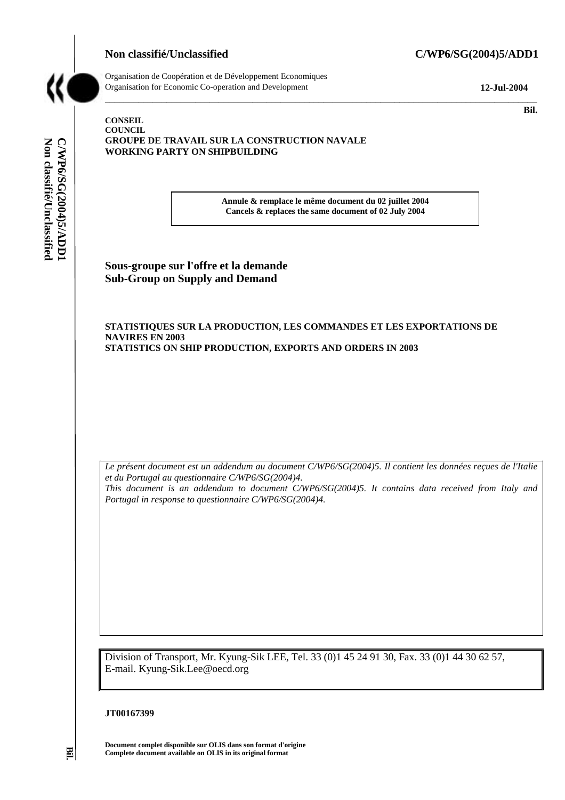

**CONSEIL** 



**Non classifié/Unclassified C/WP6/SG(2004)5/ADD1** 

C/WP6/SG(2004)5/ADD1<br>Non classifié/Unclassified

Organisation de Coopération et de Développement Economiques Organisation for Economic Co-operation and Development **12-Jul-2004** 

 $\mathbf{Bil.}$ 

#### **COUNCIL GROUPE DE TRAVAIL SUR LA CONSTRUCTION NAVALE WORKING PARTY ON SHIPBUILDING**

**Annule & remplace le même document du 02 juillet 2004 Cancels & replaces the same document of 02 July 2004** 

\_\_\_\_\_\_\_\_\_\_\_\_\_\_\_\_\_\_\_\_\_\_\_\_\_\_\_\_\_\_\_\_\_\_\_\_\_\_\_\_\_\_\_\_\_\_\_\_\_\_\_\_\_\_\_\_\_\_\_\_\_\_\_\_\_\_\_\_\_\_\_\_\_\_\_\_\_\_\_\_\_\_\_\_\_\_\_\_\_\_\_

**Sous-groupe sur l'offre et la demande Sub-Group on Supply and Demand** 

#### **STATISTIQUES SUR LA PRODUCTION, LES COMMANDES ET LES EXPORTATIONS DE NAVIRES EN 2003 STATISTICS ON SHIP PRODUCTION, EXPORTS AND ORDERS IN 2003**

*Le présent document est un addendum au document C/WP6/SG(2004)5. Il contient les données reçues de l'Italie et du Portugal au questionnaire C/WP6/SG(2004)4. This document is an addendum to document C/WP6/SG(2004)5. It contains data received from Italy and Portugal in response to questionnaire C/WP6/SG(2004)4.* 

Division of Transport, Mr. Kyung-Sik LEE, Tel. 33 (0)1 45 24 91 30, Fax. 33 (0)1 44 30 62 57, E-mail. Kyung-Sik.Lee@oecd.org

#### **JT00167399**

**Document complet disponible sur OLIS dans son format d'origine Complete document available on OLIS in its original format** 

**Bil.**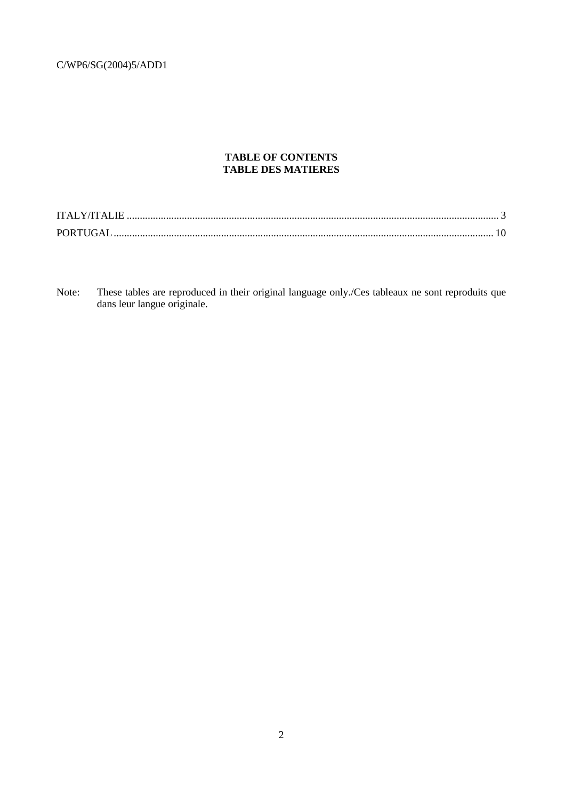### **TABLE OF CONTENTS TABLE DES MATIERES**

Note: These tables are reproduced in their original language only./Ces tableaux ne sont reproduits que dans leur langue originale.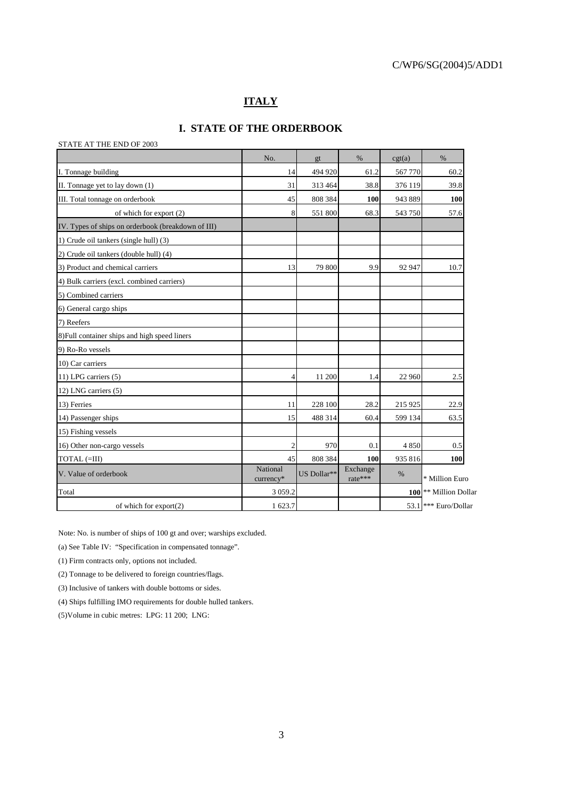### **ITALY**

### **I. STATE OF THE ORDERBOOK**

| STATE AT THE END OF 2003                           |                       |             |                     |         |                                  |
|----------------------------------------------------|-----------------------|-------------|---------------------|---------|----------------------------------|
|                                                    | No.                   | gt          | $\%$                | cgt(a)  | $\%$                             |
| I. Tonnage building                                | 14                    | 494 920     | 61.2                | 567 770 | 60.2                             |
| II. Tonnage yet to lay down (1)                    | 31                    | 313 464     | 38.8                | 376 119 | 39.8                             |
| III. Total tonnage on orderbook                    | 45                    | 808 384     | 100                 | 943 889 | 100                              |
| of which for export (2)                            | 8                     | 551 800     | 68.3                | 543 750 | 57.6                             |
| IV. Types of ships on orderbook (breakdown of III) |                       |             |                     |         |                                  |
| 1) Crude oil tankers (single hull) (3)             |                       |             |                     |         |                                  |
| (2) Crude oil tankers (double hull) (4)            |                       |             |                     |         |                                  |
| 3) Product and chemical carriers                   | 13                    | 79 800      | 9.9                 | 92 947  | 10.7                             |
| 4) Bulk carriers (excl. combined carriers)         |                       |             |                     |         |                                  |
| 5) Combined carriers                               |                       |             |                     |         |                                  |
| 6) General cargo ships                             |                       |             |                     |         |                                  |
| 7) Reefers                                         |                       |             |                     |         |                                  |
| 8) Full container ships and high speed liners      |                       |             |                     |         |                                  |
| 9) Ro-Ro vessels                                   |                       |             |                     |         |                                  |
| 10) Car carriers                                   |                       |             |                     |         |                                  |
| 11) LPG carriers (5)                               | 4                     | 11 200      | 1.4                 | 22 960  | 2.5                              |
| 12) LNG carriers (5)                               |                       |             |                     |         |                                  |
| 13) Ferries                                        | 11                    | 228 100     | 28.2                | 215 925 | 22.9                             |
| 14) Passenger ships                                | 15                    | 488 314     | 60.4                | 599 134 | 63.5                             |
| 15) Fishing vessels                                |                       |             |                     |         |                                  |
| 16) Other non-cargo vessels                        | $\overline{2}$        | 970         | 0.1                 | 4850    | 0.5                              |
| TOTAL (=III)                                       | 45                    | 808 384     | 100                 | 935 816 | 100                              |
| V. Value of orderbook                              | National<br>currency* | US Dollar** | Exchange<br>rate*** | %       | * Million Euro                   |
| Total                                              | 3 0 5 9 . 2           |             |                     |         | 100 <sup>**</sup> Million Dollar |
| of which for $\export(2)$                          | 1 623.7               |             |                     |         | 53.1 *** Euro/Dollar             |

Note: No. is number of ships of 100 gt and over; warships excluded.

(a) See Table IV: "Specification in compensated tonnage".

(1) Firm contracts only, options not included.

(2) Tonnage to be delivered to foreign countries/flags.

(3) Inclusive of tankers with double bottoms or sides.

(4) Ships fulfilling IMO requirements for double hulled tankers.

(5)Volume in cubic metres: LPG: 11 200; LNG: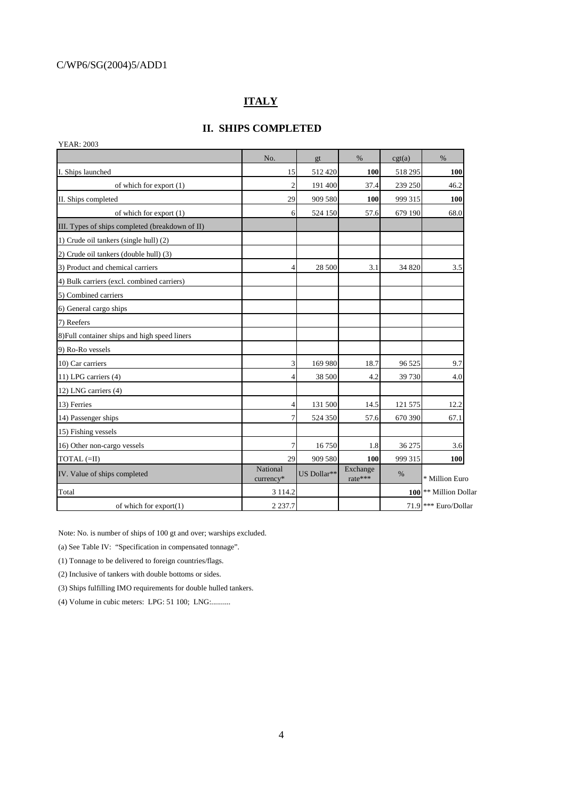## **ITALY**

### **II. SHIPS COMPLETED**

| <b>YEAR: 2003</b>                               |                       |             |                     |         |                                  |
|-------------------------------------------------|-----------------------|-------------|---------------------|---------|----------------------------------|
|                                                 | No.                   | gt          | $\%$                | cgt(a)  | $\%$                             |
| I. Ships launched                               | 15                    | 512 420     | 100                 | 518 295 | 100                              |
| of which for export (1)                         | $\overline{2}$        | 191 400     | 37.4                | 239 250 | 46.2                             |
| II. Ships completed                             | 29                    | 909 580     | 100                 | 999 315 | 100                              |
| of which for export (1)                         | 6                     | 524 150     | 57.6                | 679 190 | 68.0                             |
| III. Types of ships completed (breakdown of II) |                       |             |                     |         |                                  |
| 1) Crude oil tankers (single hull) (2)          |                       |             |                     |         |                                  |
| (2) Crude oil tankers (double hull) (3)         |                       |             |                     |         |                                  |
| 3) Product and chemical carriers                | 4                     | 28 500      | 3.1                 | 34 820  | 3.5                              |
| 4) Bulk carriers (excl. combined carriers)      |                       |             |                     |         |                                  |
| 5) Combined carriers                            |                       |             |                     |         |                                  |
| 6) General cargo ships                          |                       |             |                     |         |                                  |
| 7) Reefers                                      |                       |             |                     |         |                                  |
| 8) Full container ships and high speed liners   |                       |             |                     |         |                                  |
| 9) Ro-Ro vessels                                |                       |             |                     |         |                                  |
| 10) Car carriers                                | $\overline{3}$        | 169 980     | 18.7                | 96 525  | 9.7                              |
| 11) LPG carriers (4)                            | 4                     | 38 500      | 4.2                 | 39 730  | 4.0                              |
| 12) LNG carriers (4)                            |                       |             |                     |         |                                  |
| 13) Ferries                                     | 4                     | 131 500     | 14.5                | 121 575 | 12.2                             |
| 14) Passenger ships                             | 7                     | 524 350     | 57.6                | 670 390 | 67.1                             |
| 15) Fishing vessels                             |                       |             |                     |         |                                  |
| 16) Other non-cargo vessels                     | $\overline{7}$        | 16750       | 1.8                 | 36 275  | 3.6                              |
| TOTAL (=II)                                     | 29                    | 909 580     | 100                 | 999 315 | <b>100</b>                       |
| IV. Value of ships completed                    | National<br>currency* | US Dollar** | Exchange<br>rate*** | %       | * Million Euro                   |
| Total                                           | 3 1 1 4 .2            |             |                     |         | 100 <sup>**</sup> Million Dollar |
| of which for $\export(1)$                       | 2 2 3 7 . 7           |             |                     |         | 71.9 *** Euro/Dollar             |

Note: No. is number of ships of 100 gt and over; warships excluded.

(a) See Table IV: "Specification in compensated tonnage".

(1) Tonnage to be delivered to foreign countries/flags.

(2) Inclusive of tankers with double bottoms or sides.

(3) Ships fulfilling IMO requirements for double hulled tankers.

(4) Volume in cubic meters: LPG: 51 100; LNG:..........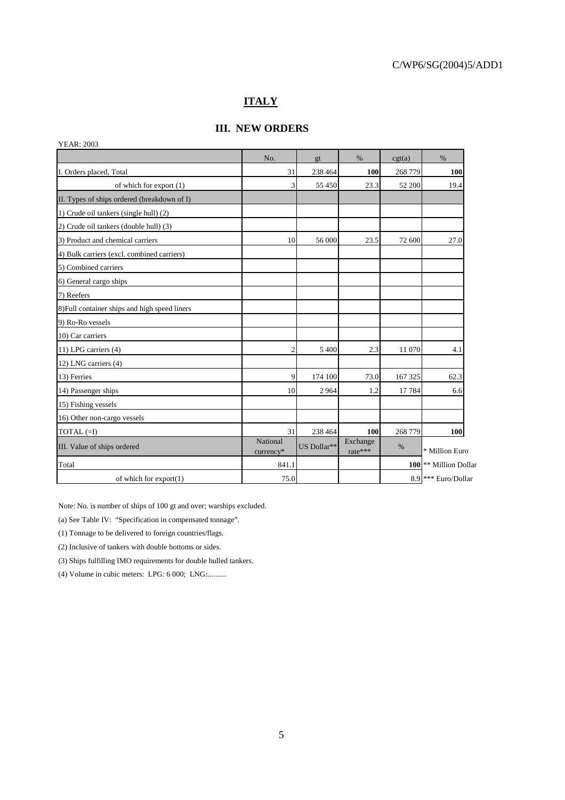### **ITALY**

### **III. NEW ORDERS**

|                                               | No.                   | gt          | $\%$                | cgt(a)  | $\frac{0}{0}$                  |
|-----------------------------------------------|-----------------------|-------------|---------------------|---------|--------------------------------|
| I. Orders placed, Total                       | 31                    | 238 464     | 100                 | 268 779 | 100                            |
| of which for export (1)                       | 3                     | 55 450      | 23.3                | 52 200  | 19.4                           |
| II. Types of ships ordered (breakdown of I)   |                       |             |                     |         |                                |
| 1) Crude oil tankers (single hull) (2)        |                       |             |                     |         |                                |
| (2) Crude oil tankers (double hull) (3)       |                       |             |                     |         |                                |
| 3) Product and chemical carriers              | 10                    | 56 000      | 23.5                | 72 600  | 27.0                           |
| 4) Bulk carriers (excl. combined carriers)    |                       |             |                     |         |                                |
| 5) Combined carriers                          |                       |             |                     |         |                                |
| 6) General cargo ships                        |                       |             |                     |         |                                |
| 7) Reefers                                    |                       |             |                     |         |                                |
| 8) Full container ships and high speed liners |                       |             |                     |         |                                |
| 9) Ro-Ro vessels                              |                       |             |                     |         |                                |
| 10) Car carriers                              |                       |             |                     |         |                                |
| 11) LPG carriers (4)                          | $\overline{c}$        | 5 4 0 0     | 2.3                 | 11 070  | 4.1                            |
| 12) LNG carriers (4)                          |                       |             |                     |         |                                |
| 13) Ferries                                   | $\overline{9}$        | 174 100     | 73.0                | 167 325 | 62.3                           |
| 14) Passenger ships                           | 10                    | 2964        | 1.2                 | 17784   | 6.6                            |
| 15) Fishing vessels                           |                       |             |                     |         |                                |
| 16) Other non-cargo vessels                   |                       |             |                     |         |                                |
| $TOTAL (=I)$                                  | 31                    | 238 464     | 100                 | 268 779 | 100                            |
| III. Value of ships ordered                   | National<br>currency* | US Dollar** | Exchange<br>rate*** | $\%$    | * Million Euro                 |
| Total                                         | 841.1                 |             |                     |         | 100 ** Million Dollar          |
| of which for $\export(1)$                     | 75.0                  |             |                     |         | 8.9 <sup>***</sup> Euro/Dollar |

Note: No. is number of ships of 100 gt and over; warships excluded.

(a) See Table IV: "Specification in compensated tonnage".

(1) Tonnage to be delivered to foreign countries/flags.

(2) Inclusive of tankers with double bottoms or sides.

(3) Ships fulfilling IMO requirements for double hulled tankers.

(4) Volume in cubic meters: LPG: 6 000; LNG:..........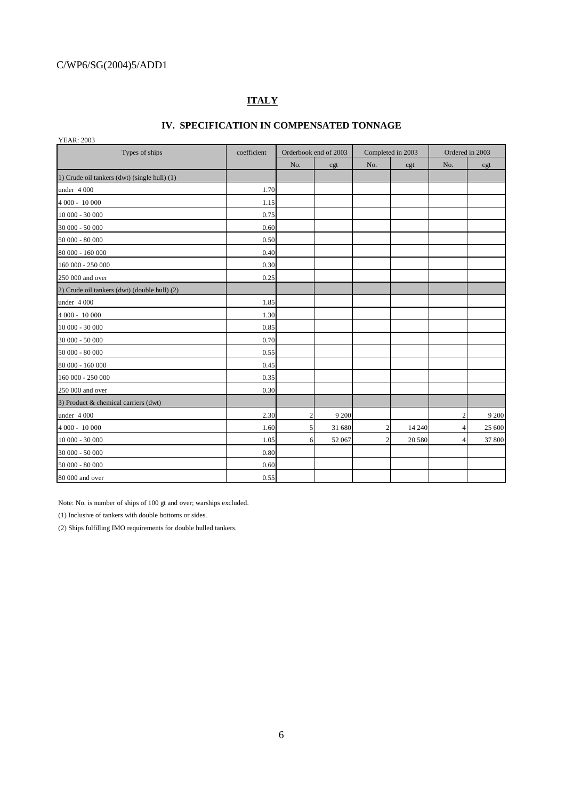## **ITALY**

### **IV. SPECIFICATION IN COMPENSATED TONNAGE**

YEAR: 2003

| Types of ships<br>coefficient                |      |     | Orderbook end of 2003 |     | Completed in 2003 | Ordered in 2003 |        |
|----------------------------------------------|------|-----|-----------------------|-----|-------------------|-----------------|--------|
|                                              |      | No. | cgt                   | No. | cgt               | No.             | cgt    |
| 1) Crude oil tankers (dwt) (single hull) (1) |      |     |                       |     |                   |                 |        |
| under 4 000                                  | 1.70 |     |                       |     |                   |                 |        |
| 4 000 - 10 000                               | 1.15 |     |                       |     |                   |                 |        |
| 10 000 - 30 000                              | 0.75 |     |                       |     |                   |                 |        |
| 30 000 - 50 000                              | 0.60 |     |                       |     |                   |                 |        |
| 50 000 - 80 000                              | 0.50 |     |                       |     |                   |                 |        |
| 80 000 - 160 000                             | 0.40 |     |                       |     |                   |                 |        |
| 160 000 - 250 000                            | 0.30 |     |                       |     |                   |                 |        |
| 250 000 and over                             | 0.25 |     |                       |     |                   |                 |        |
| 2) Crude oil tankers (dwt) (double hull) (2) |      |     |                       |     |                   |                 |        |
| under 4 000                                  | 1.85 |     |                       |     |                   |                 |        |
| 4 000 - 10 000                               | 1.30 |     |                       |     |                   |                 |        |
| 10 000 - 30 000                              | 0.85 |     |                       |     |                   |                 |        |
| 30 000 - 50 000                              | 0.70 |     |                       |     |                   |                 |        |
| $50000 - 80000$                              | 0.55 |     |                       |     |                   |                 |        |
| 80 000 - 160 000                             | 0.45 |     |                       |     |                   |                 |        |
| 160 000 - 250 000                            | 0.35 |     |                       |     |                   |                 |        |
| 250 000 and over                             | 0.30 |     |                       |     |                   |                 |        |
| 3) Product & chemical carriers (dwt)         |      |     |                       |     |                   |                 |        |
| under 4 000                                  | 2.30 | 2   | 9 200                 |     |                   |                 | 9 200  |
| 4 000 - 10 000                               | 1.60 | 5   | 31 680                | 2   | 14 240            |                 | 25 600 |
| 10 000 - 30 000                              | 1.05 | 6   | 52 067                |     | 20 580            |                 | 37 800 |
| 30 000 - 50 000                              | 0.80 |     |                       |     |                   |                 |        |
| 50 000 - 80 000                              | 0.60 |     |                       |     |                   |                 |        |
| 80 000 and over                              | 0.55 |     |                       |     |                   |                 |        |

Note: No. is number of ships of 100 gt and over; warships excluded.

(1) Inclusive of tankers with double bottoms or sides.

(2) Ships fulfilling IMO requirements for double hulled tankers.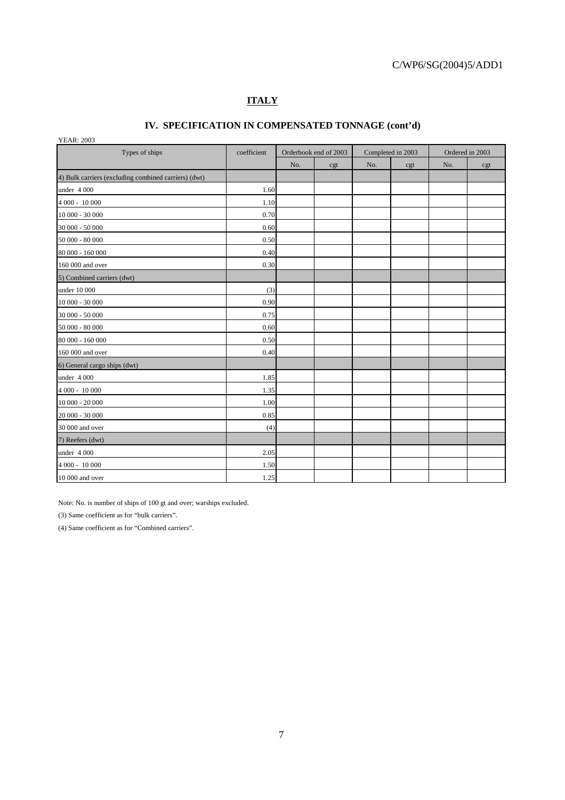# **ITALY**

## **IV. SPECIFICATION IN COMPENSATED TONNAGE (cont'd)**

| <b>YEAR: 2003</b> |  |
|-------------------|--|

| Types of ships                                       | coefficient |     | Orderbook end of 2003 |     | Completed in 2003 |     | Ordered in 2003 |  |  |
|------------------------------------------------------|-------------|-----|-----------------------|-----|-------------------|-----|-----------------|--|--|
|                                                      |             | No. | cgt                   | No. | cgt               | No. | cgt             |  |  |
| 4) Bulk carriers (excluding combined carriers) (dwt) |             |     |                       |     |                   |     |                 |  |  |
| under 4 000                                          | 1.60        |     |                       |     |                   |     |                 |  |  |
| 4 000 - 10 000                                       | 1.10        |     |                       |     |                   |     |                 |  |  |
| 10 000 - 30 000                                      | 0.70        |     |                       |     |                   |     |                 |  |  |
| 30 000 - 50 000                                      | 0.60        |     |                       |     |                   |     |                 |  |  |
| 50 000 - 80 000                                      | 0.50        |     |                       |     |                   |     |                 |  |  |
| 80 000 - 160 000                                     | 0.40        |     |                       |     |                   |     |                 |  |  |
| 160 000 and over                                     | 0.30        |     |                       |     |                   |     |                 |  |  |
| 5) Combined carriers (dwt)                           |             |     |                       |     |                   |     |                 |  |  |
| under 10 000                                         | (3)         |     |                       |     |                   |     |                 |  |  |
| $10000 - 30000$                                      | 0.90        |     |                       |     |                   |     |                 |  |  |
| 30 000 - 50 000                                      | 0.75        |     |                       |     |                   |     |                 |  |  |
| 50 000 - 80 000                                      | 0.60        |     |                       |     |                   |     |                 |  |  |
| 80 000 - 160 000                                     | 0.50        |     |                       |     |                   |     |                 |  |  |
| 160 000 and over                                     | 0.40        |     |                       |     |                   |     |                 |  |  |
| 6) General cargo ships (dwt)                         |             |     |                       |     |                   |     |                 |  |  |
| under 4 000                                          | 1.85        |     |                       |     |                   |     |                 |  |  |
| 4 000 - 10 000                                       | 1.35        |     |                       |     |                   |     |                 |  |  |
| 10 000 - 20 000                                      | 1.00        |     |                       |     |                   |     |                 |  |  |
| 20 000 - 30 000                                      | 0.85        |     |                       |     |                   |     |                 |  |  |
| 30 000 and over                                      | (4)         |     |                       |     |                   |     |                 |  |  |
| 7) Reefers (dwt)                                     |             |     |                       |     |                   |     |                 |  |  |
| under 4 000                                          | 2.05        |     |                       |     |                   |     |                 |  |  |
| 4 000 - 10 000                                       | 1.50        |     |                       |     |                   |     |                 |  |  |
| 10 000 and over                                      | 1.25        |     |                       |     |                   |     |                 |  |  |

Note: No. is number of ships of 100 gt and over; warships excluded.

(3) Same coefficient as for "bulk carriers".

(4) Same coefficient as for "Combined carriers".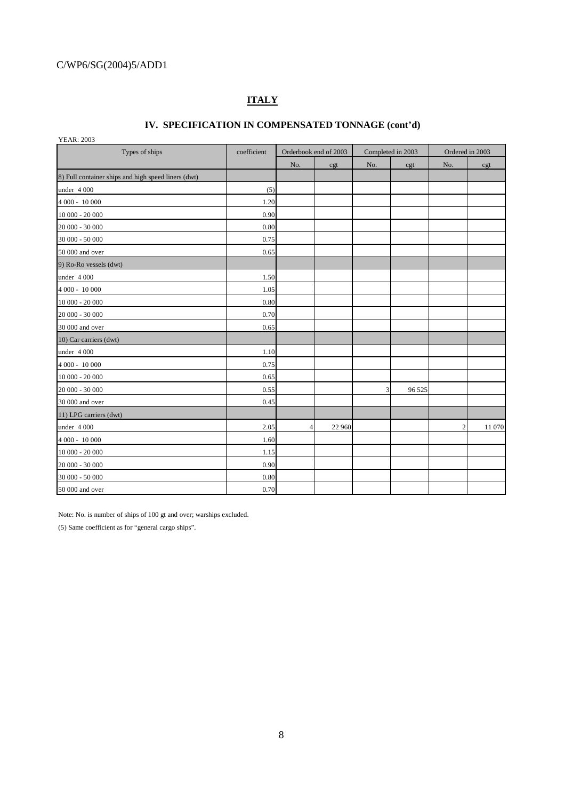## **ITALY**

# **IV. SPECIFICATION IN COMPENSATED TONNAGE (cont'd)**

 $YFAR: 2003$ 

| $1.1$ $\mu$ , $200$<br>Types of ships               | coefficient |                | Orderbook end of 2003 |     | Completed in 2003 | Ordered in 2003 |        |  |
|-----------------------------------------------------|-------------|----------------|-----------------------|-----|-------------------|-----------------|--------|--|
|                                                     |             | No.            | cgt                   | No. | cgt               | No.             | cgt    |  |
| 8) Full container ships and high speed liners (dwt) |             |                |                       |     |                   |                 |        |  |
| under 4 000                                         | (5)         |                |                       |     |                   |                 |        |  |
| 4 000 - 10 000                                      | 1.20        |                |                       |     |                   |                 |        |  |
| 10 000 - 20 000                                     | 0.90        |                |                       |     |                   |                 |        |  |
| 20 000 - 30 000                                     | 0.80        |                |                       |     |                   |                 |        |  |
| 30 000 - 50 000                                     | 0.75        |                |                       |     |                   |                 |        |  |
| 50 000 and over                                     | 0.65        |                |                       |     |                   |                 |        |  |
| 9) Ro-Ro vessels (dwt)                              |             |                |                       |     |                   |                 |        |  |
| under 4 000                                         | 1.50        |                |                       |     |                   |                 |        |  |
| 4 000 - 10 000                                      | 1.05        |                |                       |     |                   |                 |        |  |
| $10000 - 20000$                                     | 0.80        |                |                       |     |                   |                 |        |  |
| 20 000 - 30 000                                     | 0.70        |                |                       |     |                   |                 |        |  |
| 30 000 and over                                     | 0.65        |                |                       |     |                   |                 |        |  |
| 10) Car carriers (dwt)                              |             |                |                       |     |                   |                 |        |  |
| under 4 000                                         | 1.10        |                |                       |     |                   |                 |        |  |
| $4000 - 10000$                                      | 0.75        |                |                       |     |                   |                 |        |  |
| $10000 - 20000$                                     | 0.65        |                |                       |     |                   |                 |        |  |
| 20 000 - 30 000                                     | 0.55        |                |                       | 3   | 96 525            |                 |        |  |
| 30 000 and over                                     | 0.45        |                |                       |     |                   |                 |        |  |
| 11) LPG carriers (dwt)                              |             |                |                       |     |                   |                 |        |  |
| under 4 000                                         | 2.05        | $\overline{4}$ | 22 960                |     |                   | 2               | 11 070 |  |
| 4 000 - 10 000                                      | 1.60        |                |                       |     |                   |                 |        |  |
| 10 000 - 20 000                                     | 1.15        |                |                       |     |                   |                 |        |  |
| 20 000 - 30 000                                     | 0.90        |                |                       |     |                   |                 |        |  |
| 30 000 - 50 000                                     | 0.80        |                |                       |     |                   |                 |        |  |
| 50 000 and over                                     | 0.70        |                |                       |     |                   |                 |        |  |

Note: No. is number of ships of 100 gt and over; warships excluded.

(5) Same coefficient as for "general cargo ships".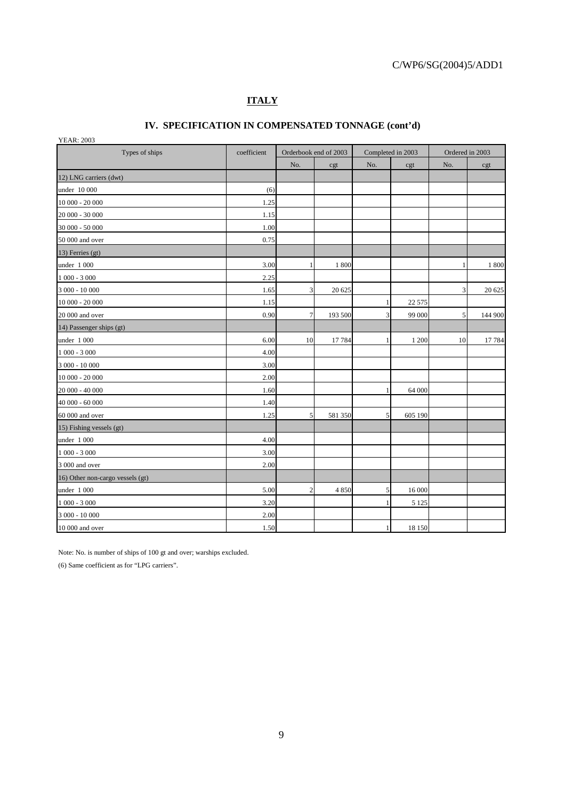# **ITALY**

## **IV. SPECIFICATION IN COMPENSATED TONNAGE (cont'd)**

YEAR: 2003

| Types of ships<br>coefficient    |      | Orderbook end of 2003 |         | Completed in 2003 |          | Ordered in 2003 |         |
|----------------------------------|------|-----------------------|---------|-------------------|----------|-----------------|---------|
|                                  |      | No.                   | cgt     | No.               | cgt      | No.             | cgt     |
| 12) LNG carriers (dwt)           |      |                       |         |                   |          |                 |         |
| under 10 000                     | (6)  |                       |         |                   |          |                 |         |
| 10 000 - 20 000                  | 1.25 |                       |         |                   |          |                 |         |
| 20 000 - 30 000                  | 1.15 |                       |         |                   |          |                 |         |
| 30 000 - 50 000                  | 1.00 |                       |         |                   |          |                 |         |
| 50 000 and over                  | 0.75 |                       |         |                   |          |                 |         |
| 13) Ferries (gt)                 |      |                       |         |                   |          |                 |         |
| under 1 000                      | 3.00 | 1                     | 1 800   |                   |          | 1               | 1 800   |
| $1000 - 3000$                    | 2.25 |                       |         |                   |          |                 |         |
| 3 000 - 10 000                   | 1.65 | 3                     | 20 625  |                   |          | $\overline{3}$  | 20 625  |
| 10 000 - 20 000                  | 1.15 |                       |         |                   | 22 5 7 5 |                 |         |
| 20 000 and over                  | 0.90 | $\tau$                | 193 500 | 3                 | 99 000   | $\mathfrak{S}$  | 144 900 |
| 14) Passenger ships (gt)         |      |                       |         |                   |          |                 |         |
| under 1 000                      | 6.00 | 10                    | 17 784  |                   | 1 200    | 10              | 17 784  |
| $1000 - 3000$                    | 4.00 |                       |         |                   |          |                 |         |
| 3 000 - 10 000                   | 3.00 |                       |         |                   |          |                 |         |
| 10 000 - 20 000                  | 2.00 |                       |         |                   |          |                 |         |
| 20 000 - 40 000                  | 1.60 |                       |         |                   | 64 000   |                 |         |
| 40 000 - 60 000                  | 1.40 |                       |         |                   |          |                 |         |
| 60 000 and over                  | 1.25 | 5                     | 581 350 | 5                 | 605 190  |                 |         |
| 15) Fishing vessels (gt)         |      |                       |         |                   |          |                 |         |
| under 1 000                      | 4.00 |                       |         |                   |          |                 |         |
| $1000 - 3000$                    | 3.00 |                       |         |                   |          |                 |         |
| 3 000 and over                   | 2.00 |                       |         |                   |          |                 |         |
| 16) Other non-cargo vessels (gt) |      |                       |         |                   |          |                 |         |
| under 1 000                      | 5.00 | $\overline{2}$        | 4 8 5 0 | 5                 | 16 000   |                 |         |
| $1\ 000$ - $3\ 000$              | 3.20 |                       |         |                   | 5 1 2 5  |                 |         |
| 3 000 - 10 000                   | 2.00 |                       |         |                   |          |                 |         |
| 10 000 and over                  | 1.50 |                       |         | 1                 | 18 150   |                 |         |

Note: No. is number of ships of 100 gt and over; warships excluded.

(6) Same coefficient as for "LPG carriers".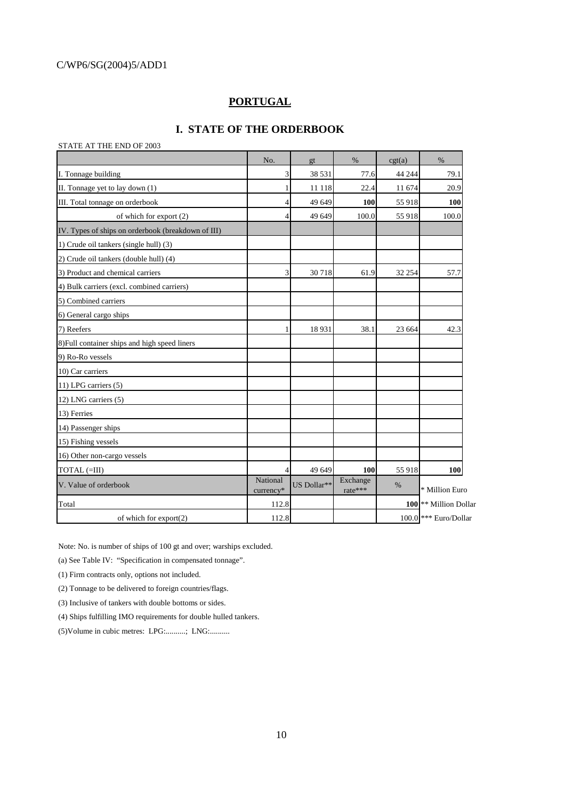### **PORTUGAL**

### **I. STATE OF THE ORDERBOOK**

#### STATE AT THE END OF 2003

|                                                    | No.                   | gt          | $\%$                | cgt(a) | $\%$                               |
|----------------------------------------------------|-----------------------|-------------|---------------------|--------|------------------------------------|
| I. Tonnage building                                | 3                     | 38 531      | 77.6                | 44 244 | 79.1                               |
| II. Tonnage yet to lay down (1)                    |                       | 11 118      | 22.4                | 11 674 | 20.9                               |
| III. Total tonnage on orderbook                    | 4                     | 49 649      | 100                 | 55 918 | 100                                |
| of which for export (2)                            | 4                     | 49 649      | 100.0               | 55 918 | 100.0                              |
| IV. Types of ships on orderbook (breakdown of III) |                       |             |                     |        |                                    |
| 1) Crude oil tankers (single hull) (3)             |                       |             |                     |        |                                    |
| 2) Crude oil tankers (double hull) (4)             |                       |             |                     |        |                                    |
| 3) Product and chemical carriers                   | 3                     | 30718       | 61.9                | 32 254 | 57.7                               |
| 4) Bulk carriers (excl. combined carriers)         |                       |             |                     |        |                                    |
| 5) Combined carriers                               |                       |             |                     |        |                                    |
| 6) General cargo ships                             |                       |             |                     |        |                                    |
| 7) Reefers                                         |                       | 18931       | 38.1                | 23 664 | 42.3                               |
| 8) Full container ships and high speed liners      |                       |             |                     |        |                                    |
| 9) Ro-Ro vessels                                   |                       |             |                     |        |                                    |
| 10) Car carriers                                   |                       |             |                     |        |                                    |
| 11) LPG carriers (5)                               |                       |             |                     |        |                                    |
| 12) LNG carriers (5)                               |                       |             |                     |        |                                    |
| 13) Ferries                                        |                       |             |                     |        |                                    |
| 14) Passenger ships                                |                       |             |                     |        |                                    |
| 15) Fishing vessels                                |                       |             |                     |        |                                    |
| 16) Other non-cargo vessels                        |                       |             |                     |        |                                    |
| TOTAL (=III)                                       | 4                     | 49 649      | 100                 | 55 918 | 100                                |
| V. Value of orderbook                              | National<br>currency* | US Dollar** | Exchange<br>rate*** | %      | * Million Euro                     |
| Total                                              | 112.8                 |             |                     |        | 100 <sup>*</sup> Million Dollar    |
| of which for $\exp\{2}$                            | 112.8                 |             |                     |        | $100.0$ <sup>***</sup> Euro/Dollar |

Note: No. is number of ships of 100 gt and over; warships excluded.

(a) See Table IV: "Specification in compensated tonnage".

(1) Firm contracts only, options not included.

(2) Tonnage to be delivered to foreign countries/flags.

(3) Inclusive of tankers with double bottoms or sides.

(4) Ships fulfilling IMO requirements for double hulled tankers.

(5)Volume in cubic metres: LPG:..........; LNG:..........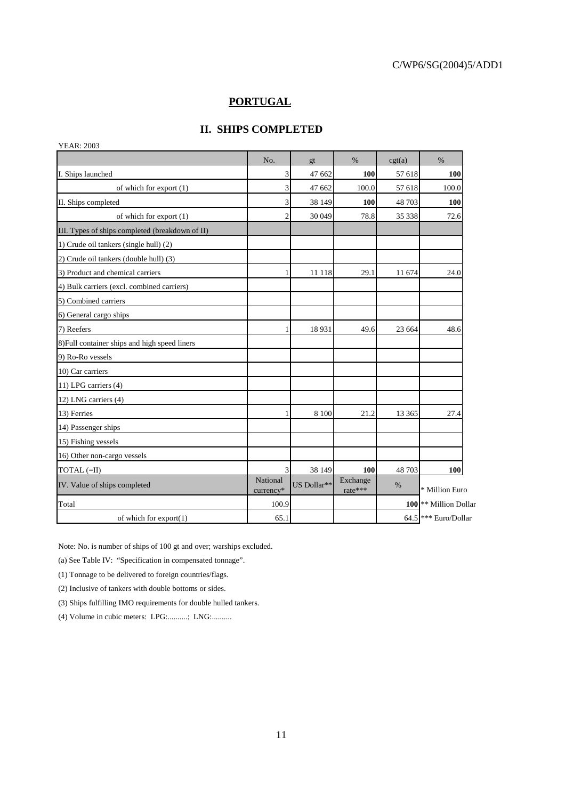### **PORTUGAL**

### **II. SHIPS COMPLETED**

|                                   |         |                     |             |                       | <b>YEAR: 2003</b>                               |
|-----------------------------------|---------|---------------------|-------------|-----------------------|-------------------------------------------------|
| $\%$                              | cgt(a)  | $\%$                | gt          | No.                   |                                                 |
| 100                               | 57 618  | 100                 | 47 662      | 3                     | I. Ships launched                               |
| 100.0                             | 57 618  | 100.0               | 47 662      | 3                     | of which for export (1)                         |
| <b>100</b>                        | 48 703  | 100                 | 38 149      | 3                     | II. Ships completed                             |
| 72.6                              | 35 338  | 78.8                | 30 049      | $\overline{c}$        | of which for export (1)                         |
|                                   |         |                     |             |                       | III. Types of ships completed (breakdown of II) |
|                                   |         |                     |             |                       | 1) Crude oil tankers (single hull) (2)          |
|                                   |         |                     |             |                       | 2) Crude oil tankers (double hull) (3)          |
| 24.0                              | 11 674  | 29.1                | 11 118      |                       | 3) Product and chemical carriers                |
|                                   |         |                     |             |                       | 4) Bulk carriers (excl. combined carriers)      |
|                                   |         |                     |             |                       | 5) Combined carriers                            |
|                                   |         |                     |             |                       | 6) General cargo ships                          |
| 48.6                              | 23 664  | 49.6                | 18931       |                       | 7) Reefers                                      |
|                                   |         |                     |             |                       | 8) Full container ships and high speed liners   |
|                                   |         |                     |             |                       | 9) Ro-Ro vessels                                |
|                                   |         |                     |             |                       | 10) Car carriers                                |
|                                   |         |                     |             |                       | 11) LPG carriers (4)                            |
|                                   |         |                     |             |                       | 12) LNG carriers (4)                            |
| 27.4                              | 13 3 65 | 21.2                | 8 1 0 0     | 1                     | 13) Ferries                                     |
|                                   |         |                     |             |                       | 14) Passenger ships                             |
|                                   |         |                     |             |                       | 15) Fishing vessels                             |
|                                   |         |                     |             |                       | 16) Other non-cargo vessels                     |
| 100                               | 48 703  | 100                 | 38 149      | 3                     | TOTAL (=II)                                     |
| * Million Euro                    | %       | Exchange<br>rate*** | US Dollar** | National<br>currency* |                                                 |
| 100 <sup>*</sup> Million Dollar   |         |                     |             | 100.9                 | Total                                           |
| $64.5$ <sup>***</sup> Euro/Dollar |         |                     |             | 65.1                  | of which for $\exp\{t(1)$                       |
|                                   |         |                     |             |                       | IV. Value of ships completed                    |

Note: No. is number of ships of 100 gt and over; warships excluded.

(a) See Table IV: "Specification in compensated tonnage".

(1) Tonnage to be delivered to foreign countries/flags.

(2) Inclusive of tankers with double bottoms or sides.

(3) Ships fulfilling IMO requirements for double hulled tankers.

(4) Volume in cubic meters: LPG:..........; LNG:..........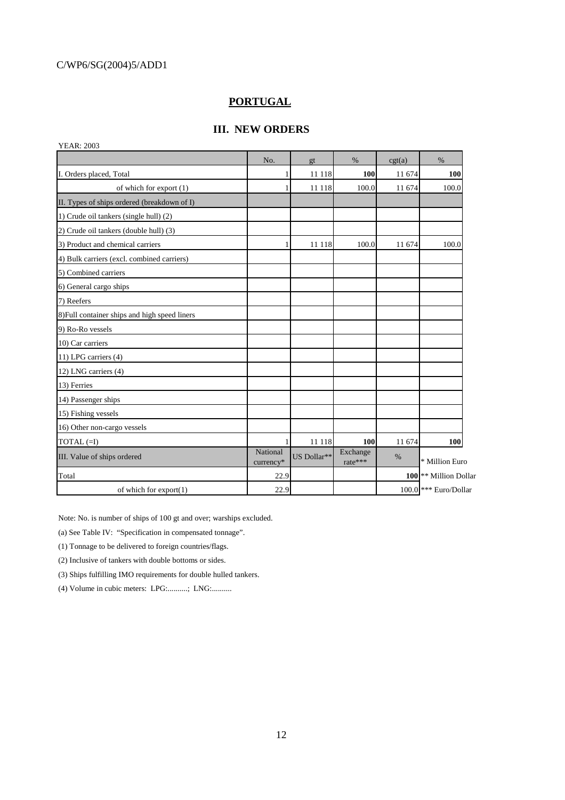### **PORTUGAL**

### **III. NEW ORDERS**

| <b>YEAR: 2003</b>                             |                       |             |                     |        |                                    |
|-----------------------------------------------|-----------------------|-------------|---------------------|--------|------------------------------------|
|                                               | No.                   | gt          | %                   | cgt(a) | $\%$                               |
| I. Orders placed, Total                       | 1                     | 11 118      | 100                 | 11 674 | 100                                |
| of which for export (1)                       |                       | 11 118      | 100.0               | 11 674 | 100.0                              |
| II. Types of ships ordered (breakdown of I)   |                       |             |                     |        |                                    |
| 1) Crude oil tankers (single hull) (2)        |                       |             |                     |        |                                    |
| 2) Crude oil tankers (double hull) (3)        |                       |             |                     |        |                                    |
| 3) Product and chemical carriers              |                       | 11 118      | 100.0               | 11 674 | 100.0                              |
| 4) Bulk carriers (excl. combined carriers)    |                       |             |                     |        |                                    |
| 5) Combined carriers                          |                       |             |                     |        |                                    |
| 6) General cargo ships                        |                       |             |                     |        |                                    |
| 7) Reefers                                    |                       |             |                     |        |                                    |
| 8) Full container ships and high speed liners |                       |             |                     |        |                                    |
| 9) Ro-Ro vessels                              |                       |             |                     |        |                                    |
| 10) Car carriers                              |                       |             |                     |        |                                    |
| 11) LPG carriers (4)                          |                       |             |                     |        |                                    |
| 12) LNG carriers (4)                          |                       |             |                     |        |                                    |
| 13) Ferries                                   |                       |             |                     |        |                                    |
| 14) Passenger ships                           |                       |             |                     |        |                                    |
| 15) Fishing vessels                           |                       |             |                     |        |                                    |
| 16) Other non-cargo vessels                   |                       |             |                     |        |                                    |
| $TOTAL (=I)$                                  |                       | 11 118      | 100                 | 11 674 | 100                                |
| III. Value of ships ordered                   | National<br>currency* | US Dollar** | Exchange<br>rate*** | $\%$   | * Million Euro                     |
| Total                                         | 22.9                  |             |                     |        | 100 <sup>**</sup> Million Dollar   |
| of which for export(1)                        | 22.9                  |             |                     |        | $100.0$ <sup>***</sup> Euro/Dollar |

Note: No. is number of ships of 100 gt and over; warships excluded.

(a) See Table IV: "Specification in compensated tonnage".

(1) Tonnage to be delivered to foreign countries/flags.

(2) Inclusive of tankers with double bottoms or sides.

(3) Ships fulfilling IMO requirements for double hulled tankers.

(4) Volume in cubic meters: LPG:..........; LNG:..........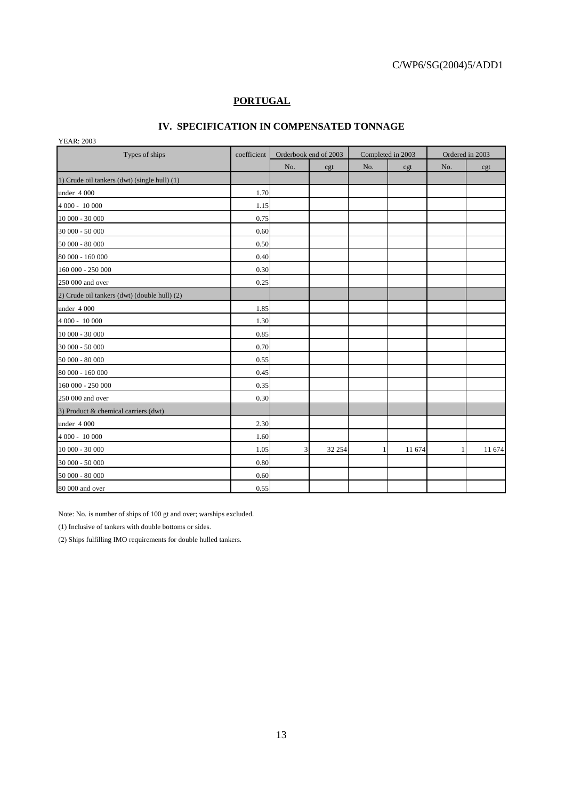## **PORTUGAL**

### **IV. SPECIFICATION IN COMPENSATED TONNAGE**

YEAR: 2003

| $1$ LAN. $200J$<br>Types of ships            | coefficient | Orderbook end of 2003 |        |     | Completed in 2003 | Ordered in 2003 |        |
|----------------------------------------------|-------------|-----------------------|--------|-----|-------------------|-----------------|--------|
|                                              |             | No.                   | cgt    | No. | cgt               | No.             | cgt    |
| 1) Crude oil tankers (dwt) (single hull) (1) |             |                       |        |     |                   |                 |        |
| under 4 000                                  | 1.70        |                       |        |     |                   |                 |        |
| 4 000 - 10 000                               | 1.15        |                       |        |     |                   |                 |        |
| 10 000 - 30 000                              | 0.75        |                       |        |     |                   |                 |        |
| 30 000 - 50 000                              | 0.60        |                       |        |     |                   |                 |        |
| 50 000 - 80 000                              | 0.50        |                       |        |     |                   |                 |        |
| 80 000 - 160 000                             | 0.40        |                       |        |     |                   |                 |        |
| 160 000 - 250 000                            | 0.30        |                       |        |     |                   |                 |        |
| 250 000 and over                             | 0.25        |                       |        |     |                   |                 |        |
| 2) Crude oil tankers (dwt) (double hull) (2) |             |                       |        |     |                   |                 |        |
| under 4 000                                  | 1.85        |                       |        |     |                   |                 |        |
| 4 000 - 10 000                               | 1.30        |                       |        |     |                   |                 |        |
| 10 000 - 30 000                              | 0.85        |                       |        |     |                   |                 |        |
| 30 000 - 50 000                              | 0.70        |                       |        |     |                   |                 |        |
| 50 000 - 80 000                              | 0.55        |                       |        |     |                   |                 |        |
| 80 000 - 160 000                             | 0.45        |                       |        |     |                   |                 |        |
| 160 000 - 250 000                            | 0.35        |                       |        |     |                   |                 |        |
| 250 000 and over                             | 0.30        |                       |        |     |                   |                 |        |
| 3) Product & chemical carriers (dwt)         |             |                       |        |     |                   |                 |        |
| under 4 000                                  | 2.30        |                       |        |     |                   |                 |        |
| 4 000 - 10 000                               | 1.60        |                       |        |     |                   |                 |        |
| 10 000 - 30 000                              | 1.05        | 3                     | 32 254 | П   | 11 674            |                 | 11 674 |
| 30 000 - 50 000                              | 0.80        |                       |        |     |                   |                 |        |
| 50 000 - 80 000                              | 0.60        |                       |        |     |                   |                 |        |
| 80 000 and over                              | 0.55        |                       |        |     |                   |                 |        |

Note: No. is number of ships of 100 gt and over; warships excluded.

(1) Inclusive of tankers with double bottoms or sides.

(2) Ships fulfilling IMO requirements for double hulled tankers.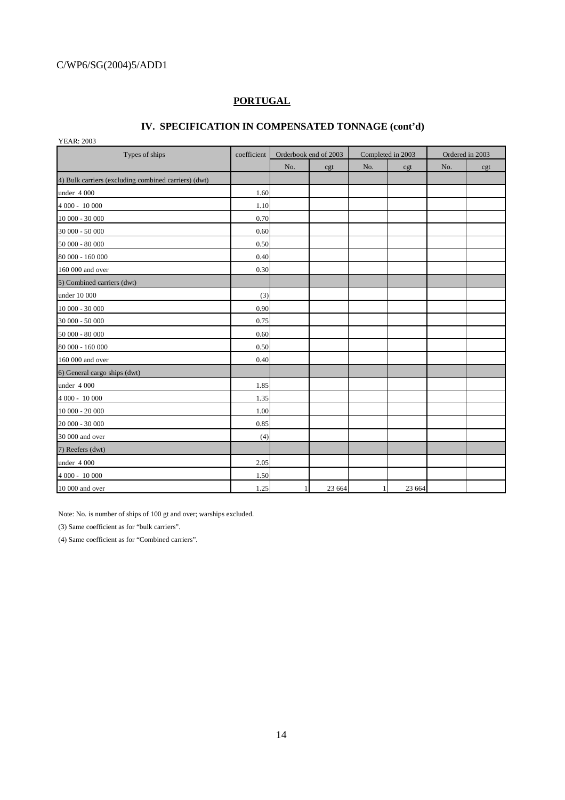## **PORTUGAL**

### **IV. SPECIFICATION IN COMPENSATED TONNAGE (cont'd)**

YEAR: 2003

| $1$ LAN. $200J$<br>Types of ships                    | coefficient |     | Orderbook end of 2003 | Completed in 2003 |        | Ordered in 2003 |     |
|------------------------------------------------------|-------------|-----|-----------------------|-------------------|--------|-----------------|-----|
|                                                      |             | No. | cgt                   | No.               | cgt    | No.             | cgt |
| 4) Bulk carriers (excluding combined carriers) (dwt) |             |     |                       |                   |        |                 |     |
| under 4 000                                          | 1.60        |     |                       |                   |        |                 |     |
| 4 000 - 10 000                                       | 1.10        |     |                       |                   |        |                 |     |
| 10 000 - 30 000                                      | 0.70        |     |                       |                   |        |                 |     |
| 30 000 - 50 000                                      | 0.60        |     |                       |                   |        |                 |     |
| 50 000 - 80 000                                      | 0.50        |     |                       |                   |        |                 |     |
| 80 000 - 160 000                                     | 0.40        |     |                       |                   |        |                 |     |
| 160 000 and over                                     | 0.30        |     |                       |                   |        |                 |     |
| 5) Combined carriers (dwt)                           |             |     |                       |                   |        |                 |     |
| under 10 000                                         | (3)         |     |                       |                   |        |                 |     |
| 10 000 - 30 000                                      | 0.90        |     |                       |                   |        |                 |     |
| 30 000 - 50 000                                      | 0.75        |     |                       |                   |        |                 |     |
| 50 000 - 80 000                                      | 0.60        |     |                       |                   |        |                 |     |
| 80 000 - 160 000                                     | 0.50        |     |                       |                   |        |                 |     |
| 160 000 and over                                     | 0.40        |     |                       |                   |        |                 |     |
| 6) General cargo ships (dwt)                         |             |     |                       |                   |        |                 |     |
| under 4 000                                          | 1.85        |     |                       |                   |        |                 |     |
| 4 000 - 10 000                                       | 1.35        |     |                       |                   |        |                 |     |
| $10000 - 20000$                                      | 1.00        |     |                       |                   |        |                 |     |
| 20 000 - 30 000                                      | 0.85        |     |                       |                   |        |                 |     |
| 30 000 and over                                      | (4)         |     |                       |                   |        |                 |     |
| 7) Reefers (dwt)                                     |             |     |                       |                   |        |                 |     |
| under 4 000                                          | 2.05        |     |                       |                   |        |                 |     |
| 4 000 - 10 000                                       | 1.50        |     |                       |                   |        |                 |     |
| 10 000 and over                                      | 1.25        |     | 23 664                | $\mathbf{1}$      | 23 664 |                 |     |

Note: No. is number of ships of 100 gt and over; warships excluded.

(3) Same coefficient as for "bulk carriers".

(4) Same coefficient as for "Combined carriers".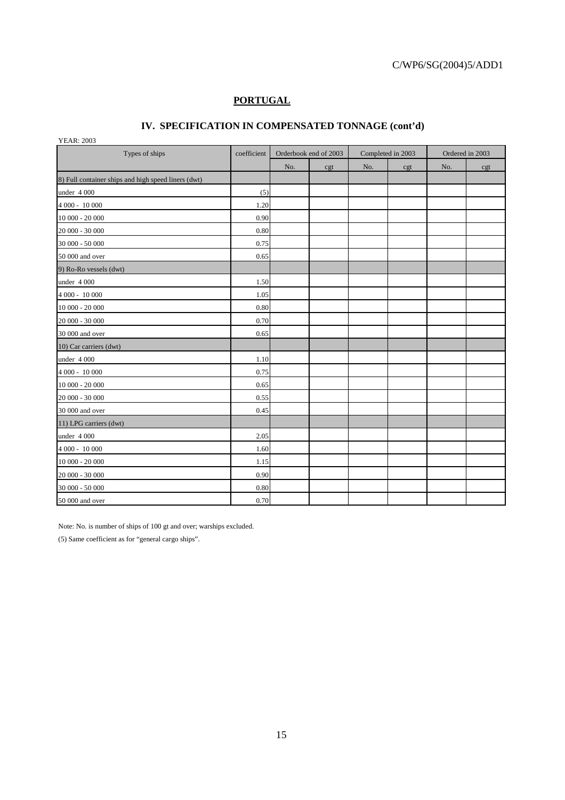### **PORTUGAL**

## **IV. SPECIFICATION IN COMPENSATED TONNAGE (cont'd)**

YEAR: 2003

| Types of ships                                      | coefficient | Orderbook end of 2003 |     | Completed in 2003 |     | Ordered in 2003 |     |
|-----------------------------------------------------|-------------|-----------------------|-----|-------------------|-----|-----------------|-----|
|                                                     |             | No.                   | cgt | No.               | cgt | No.             | cgt |
| 8) Full container ships and high speed liners (dwt) |             |                       |     |                   |     |                 |     |
| under 4 000                                         | (5)         |                       |     |                   |     |                 |     |
| 4 000 - 10 000                                      | 1.20        |                       |     |                   |     |                 |     |
| 10 000 - 20 000                                     | 0.90        |                       |     |                   |     |                 |     |
| 20 000 - 30 000                                     | 0.80        |                       |     |                   |     |                 |     |
| 30 000 - 50 000                                     | 0.75        |                       |     |                   |     |                 |     |
| 50 000 and over                                     | 0.65        |                       |     |                   |     |                 |     |
| 9) Ro-Ro vessels (dwt)                              |             |                       |     |                   |     |                 |     |
| under 4 000                                         | 1.50        |                       |     |                   |     |                 |     |
| 4 000 - 10 000                                      | 1.05        |                       |     |                   |     |                 |     |
| $10000 - 20000$                                     | 0.80        |                       |     |                   |     |                 |     |
| 20 000 - 30 000                                     | 0.70        |                       |     |                   |     |                 |     |
| 30 000 and over                                     | 0.65        |                       |     |                   |     |                 |     |
| 10) Car carriers (dwt)                              |             |                       |     |                   |     |                 |     |
| under 4 000                                         | 1.10        |                       |     |                   |     |                 |     |
| 4 000 - 10 000                                      | 0.75        |                       |     |                   |     |                 |     |
| 10 000 - 20 000                                     | 0.65        |                       |     |                   |     |                 |     |
| 20 000 - 30 000                                     | 0.55        |                       |     |                   |     |                 |     |
| 30 000 and over                                     | 0.45        |                       |     |                   |     |                 |     |
| 11) LPG carriers (dwt)                              |             |                       |     |                   |     |                 |     |
| under 4 000                                         | 2.05        |                       |     |                   |     |                 |     |
| 4 000 - 10 000                                      | 1.60        |                       |     |                   |     |                 |     |
| $10000 - 20000$                                     | 1.15        |                       |     |                   |     |                 |     |
| 20 000 - 30 000                                     | 0.90        |                       |     |                   |     |                 |     |
| 30 000 - 50 000                                     | 0.80        |                       |     |                   |     |                 |     |
| 50 000 and over                                     | 0.70        |                       |     |                   |     |                 |     |

Note: No. is number of ships of 100 gt and over; warships excluded.

(5) Same coefficient as for "general cargo ships".